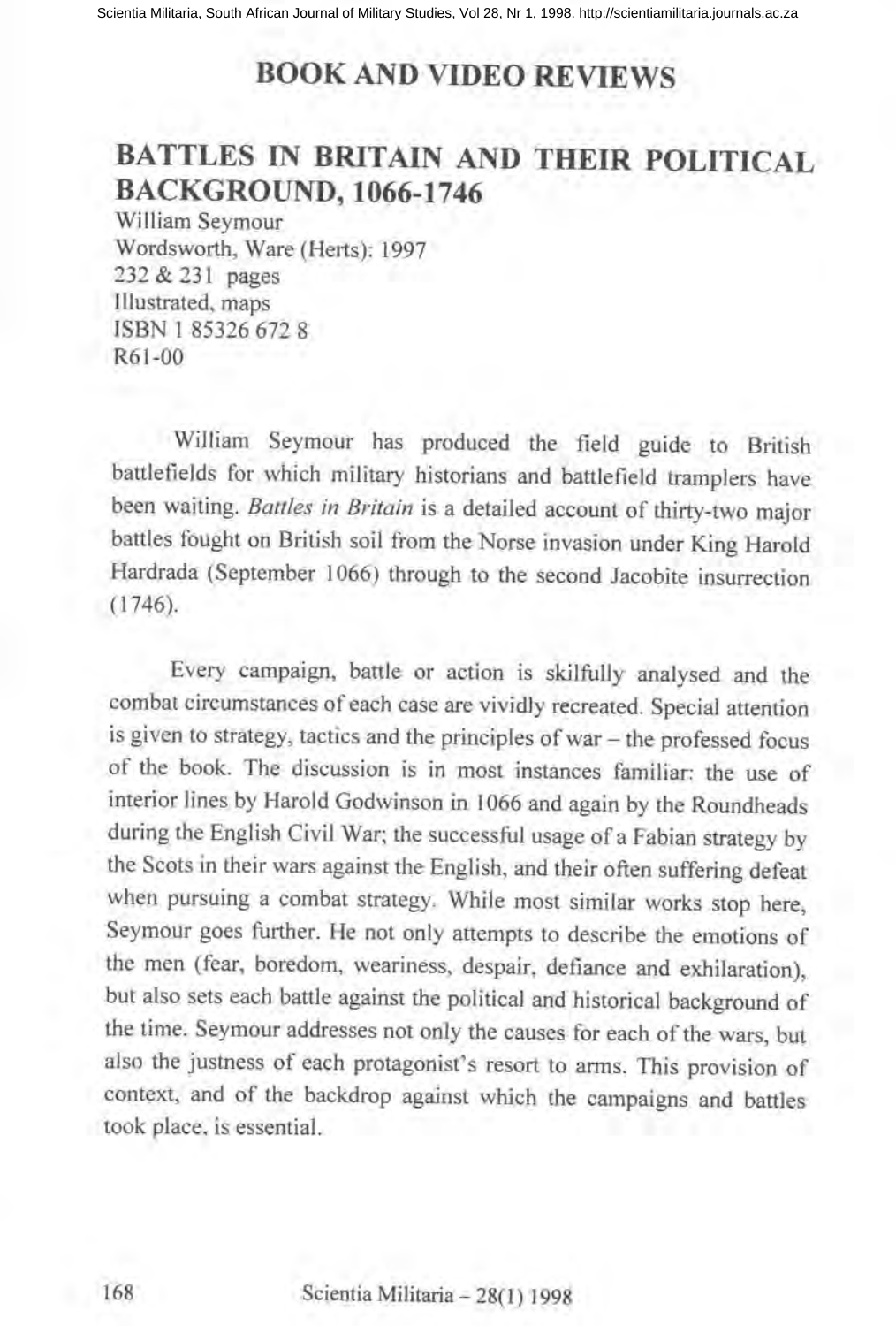## **BOOK AND VIDEO REVIEWS**

## **BATTLES IN BRITAIN AND THEIR POLITICAL** BACKGROUND, 1066-1746

William Seymour Wordsworth, Ware (Herts): 1997 232 & 231 pages Illustrated, maps ISBN I 85326 672 8 R61-00

William Seymour has produced the field guide to British battlefields for which military historians and battlefield tramplers have been waiting. *Battles in Britain* is a detailed account of thirty-two major battles fought on British soil from the Norse invasion under King Harold Hardrada (September 1066) through to the second Jacobite insurrection (1746).

Every campaign, battle or action is skilfully analysed and the combat circumstances of each case are vividly recreated. Special attention is given to strategy, tactics and the principles of war - the professed focus of the book. The discussion is in most instances familiar: the use of interior lines by Harold Godwinson in 1066 and again by the Roundheads during the English Civil War; the successful usage of a Fabian strategy by the Scots in their wars against the English, and their often suffering defeat when pursuing a combat strategy. While most similar works stop here, Seymour goes further. He not only attempts to describe the emotions of the men (fear, boredom, weariness, despair, defiance and exhilaration), but also sets each battle against the political and historical background of the time. Seymour addresses not only the causes for each of the wars, but also the justness of each protagonist's resort to arms. This provision of context, and of the backdrop against which the campaigns and battles took place, is essential.